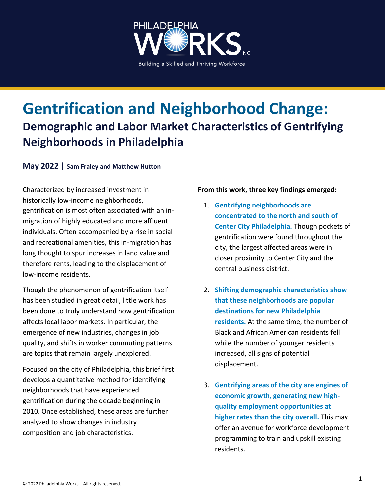

# **Gentrification and Neighborhood Change: Demographic and Labor Market Characteristics of Gentrifying Neighborhoods in Philadelphia**

#### **May 2022 | Sam Fraley and Matthew Hutton**

Characterized by increased investment in historically low-income neighborhoods, gentrification is most often associated with an inmigration of highly educated and more affluent individuals. Often accompanied by a rise in social and recreational amenities, this in-migration has long thought to spur increases in land value and therefore rents, leading to the displacement of low-income residents.

Though the phenomenon of gentrification itself has been studied in great detail, little work has been done to truly understand how gentrification affects local labor markets. In particular, the emergence of new industries, changes in job quality, and shifts in worker commuting patterns are topics that remain largely unexplored.

Focused on the city of Philadelphia, this brief first develops a quantitative method for identifying neighborhoods that have experienced gentrification during the decade beginning in 2010. Once established, these areas are further analyzed to show changes in industry composition and job characteristics.

#### **From this work, three key findings emerged:**

- 1. **Gentrifying neighborhoods are concentrated to the north and south of Center City Philadelphia.** Though pockets of gentrification were found throughout the city, the largest affected areas were in closer proximity to Center City and the central business district.
- 2. **Shifting demographic characteristics show that these neighborhoods are popular destinations for new Philadelphia residents.** At the same time, the number of Black and African American residents fell while the number of younger residents increased, all signs of potential displacement.
- 3. **Gentrifying areas of the city are engines of economic growth, generating new highquality employment opportunities at higher rates than the city overall.** This may offer an avenue for workforce development programming to train and upskill existing residents.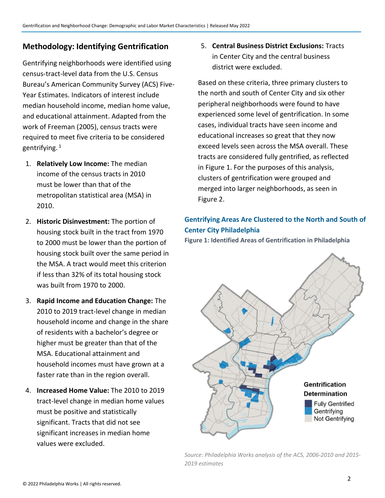## **Methodology: Identifying Gentrification**

Gentrifying neighborhoods were identified using census-tract-level data from the U.S. Census Bureau's American Community Survey (ACS) Five-Year Estimates. Indicators of interest include median household income, median home value, and educational attainment. Adapted from the work of Freeman (2005), census tracts were required to meet five criteria to be considered gentrifying. 1

- 1. **Relatively Low Income:** The median income of the census tracts in 2010 must be lower than that of the metropolitan statistical area (MSA) in 2010.
- 2. **Historic Disinvestment:** The portion of housing stock built in the tract from 1970 to 2000 must be lower than the portion of housing stock built over the same period in the MSA. A tract would meet this criterion if less than 32% of its total housing stock was built from 1970 to 2000.
- 3. **Rapid Income and Education Change:** The 2010 to 2019 tract-level change in median household income and change in the share of residents with a bachelor's degree or higher must be greater than that of the MSA. Educational attainment and household incomes must have grown at a faster rate than in the region overall.
- 4. **Increased Home Value:** The 2010 to 2019 tract-level change in median home values must be positive and statistically significant. Tracts that did not see significant increases in median home values were excluded.

5. **Central Business District Exclusions:** Tracts in Center City and the central business district were excluded.

Based on these criteria, three primary clusters to the north and south of Center City and six other peripheral neighborhoods were found to have experienced some level of gentrification. In some cases, individual tracts have seen income and educational increases so great that they now exceed levels seen across the MSA overall. These tracts are considered fully gentrified, as reflected in Figure 1. For the purposes of this analysis, clusters of gentrification were grouped and merged into larger neighborhoods, as seen in Figure 2.

## **Gentrifying Areas Are Clustered to the North and South of Center City Philadelphia**

**Figure 1: Identified Areas of Gentrification in Philadelphia**



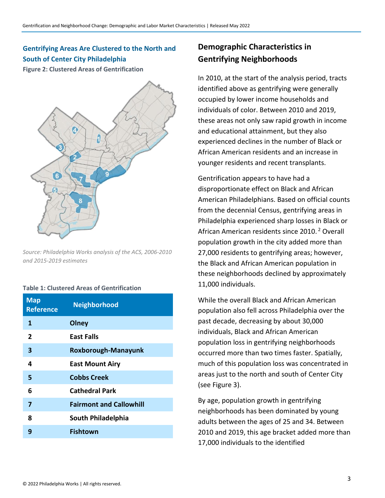## **Gentrifying Areas Are Clustered to the North and South of Center City Philadelphia**

**Figure 2: Clustered Areas of Gentrification**



*Source: Philadelphia Works analysis of the ACS, 2006-2010 and 2015-2019 estimates*

|   |  |  | <b>Table 1: Clustered Areas of Gentrification</b> |
|---|--|--|---------------------------------------------------|
| . |  |  |                                                   |

| <b>Map</b><br><b>Reference</b> | <b>Neighborhood</b>            |
|--------------------------------|--------------------------------|
| 1                              | Olney                          |
| $\overline{2}$                 | <b>East Falls</b>              |
| 3                              | Roxborough-Manayunk            |
| 4                              | <b>East Mount Airy</b>         |
| 5                              | <b>Cobbs Creek</b>             |
| 6                              | <b>Cathedral Park</b>          |
| 7                              | <b>Fairmont and Callowhill</b> |
| 8                              | South Philadelphia             |
| 9                              | <b>Fishtown</b>                |
|                                |                                |

# **Demographic Characteristics in Gentrifying Neighborhoods**

In 2010, at the start of the analysis period, tracts identified above as gentrifying were generally occupied by lower income households and individuals of color. Between 2010 and 2019, these areas not only saw rapid growth in income and educational attainment, but they also experienced declines in the number of Black or African American residents and an increase in younger residents and recent transplants.

Gentrification appears to have had a disproportionate effect on Black and African American Philadelphians. Based on official counts from the decennial Census, gentrifying areas in Philadelphia experienced sharp losses in Black or African American residents since 2010. <sup>2</sup> Overall population growth in the city added more than 27,000 residents to gentrifying areas; however, the Black and African American population in these neighborhoods declined by approximately 11,000 individuals.

While the overall Black and African American population also fell across Philadelphia over the past decade, decreasing by about 30,000 individuals, Black and African American population loss in gentrifying neighborhoods occurred more than two times faster. Spatially, much of this population loss was concentrated in areas just to the north and south of Center City (see Figure 3).

By age, population growth in gentrifying neighborhoods has been dominated by young adults between the ages of 25 and 34. Between 2010 and 2019, this age bracket added more than 17,000 individuals to the identified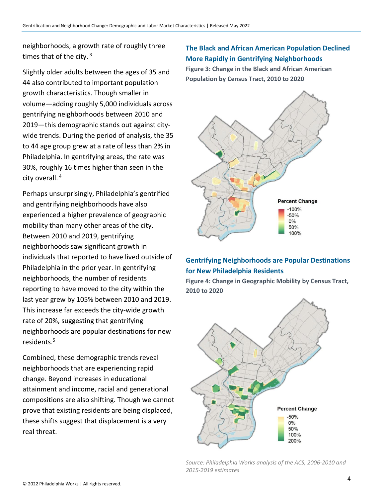neighborhoods, a growth rate of roughly three times that of the city.  $3$ 

Slightly older adults between the ages of 35 and 44 also contributed to important population growth characteristics. Though smaller in volume—adding roughly 5,000 individuals across gentrifying neighborhoods between 2010 and 2019—this demographic stands out against citywide trends. During the period of analysis, the 35 to 44 age group grew at a rate of less than 2% in Philadelphia. In gentrifying areas, the rate was 30%, roughly 16 times higher than seen in the city overall. 4

Perhaps unsurprisingly, Philadelphia's gentrified and gentrifying neighborhoods have also experienced a higher prevalence of geographic mobility than many other areas of the city. Between 2010 and 2019, gentrifying neighborhoods saw significant growth in individuals that reported to have lived outside of Philadelphia in the prior year. In gentrifying neighborhoods, the number of residents reporting to have moved to the city within the last year grew by 105% between 2010 and 2019. This increase far exceeds the city-wide growth rate of 20%, suggesting that gentrifying neighborhoods are popular destinations for new residents.<sup>5</sup>

Combined, these demographic trends reveal neighborhoods that are experiencing rapid change. Beyond increases in educational attainment and income, racial and generational compositions are also shifting. Though we cannot prove that existing residents are being displaced, these shifts suggest that displacement is a very real threat.

#### **The Black and African American Population Declined More Rapidly in Gentrifying Neighborhoods**

**Figure 3: Change in the Black and African American Population by Census Tract, 2010 to 2020**



#### **Gentrifying Neighborhoods are Popular Destinations for New Philadelphia Residents**

**Figure 4: Change in Geographic Mobility by Census Tract, 2010 to 2020**



*Source: Philadelphia Works analysis of the ACS, 2006-2010 and 2015-2019 estimates*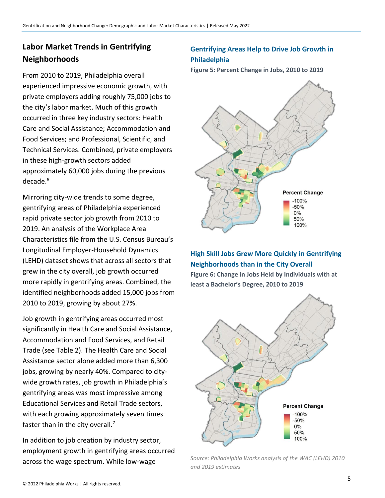# **Labor Market Trends in Gentrifying Neighborhoods**

From 2010 to 2019, Philadelphia overall experienced impressive economic growth, with private employers adding roughly 75,000 jobs to the city's labor market. Much of this growth occurred in three key industry sectors: Health Care and Social Assistance; Accommodation and Food Services; and Professional, Scientific, and Technical Services. Combined, private employers in these high-growth sectors added approximately 60,000 jobs during the previous decade.<sup>6</sup>

Mirroring city-wide trends to some degree, gentrifying areas of Philadelphia experienced rapid private sector job growth from 2010 to 2019. An analysis of the Workplace Area Characteristics file from the U.S. Census Bureau's Longitudinal Employer-Household Dynamics (LEHD) dataset shows that across all sectors that grew in the city overall, job growth occurred more rapidly in gentrifying areas. Combined, the identified neighborhoods added 15,000 jobs from 2010 to 2019, growing by about 27%.

Job growth in gentrifying areas occurred most significantly in Health Care and Social Assistance, Accommodation and Food Services, and Retail Trade (see Table 2). The Health Care and Social Assistance sector alone added more than 6,300 jobs, growing by nearly 40%. Compared to citywide growth rates, job growth in Philadelphia's gentrifying areas was most impressive among Educational Services and Retail Trade sectors, with each growing approximately seven times faster than in the city overall.<sup>7</sup>

In addition to job creation by industry sector, employment growth in gentrifying areas occurred across the wage spectrum. While low-wage

### **Gentrifying Areas Help to Drive Job Growth in Philadelphia**

**Figure 5: Percent Change in Jobs, 2010 to 2019**



## **High Skill Jobs Grew More Quickly in Gentrifying Neighborhoods than in the City Overall**

**Figure 6: Change in Jobs Held by Individuals with at least a Bachelor's Degree, 2010 to 2019**



*Source: Philadelphia Works analysis of the WAC (LEHD) 2010 and 2019 estimates*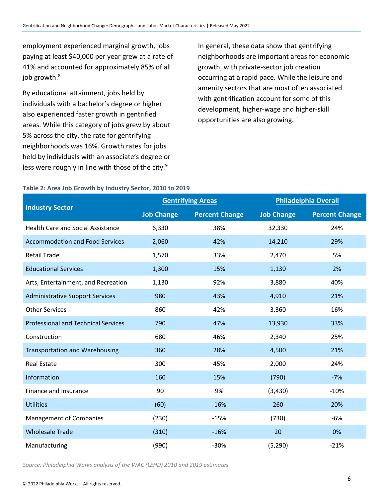employment experienced marginal growth, jobs paying at least \$40,000 per year grew at a rate of 41% and accounted for approximately 85% of all job growth.<sup>8</sup>

By educational attainment, jobs held by individuals with a bachelor's degree or higher also experienced faster growth in gentrified areas. While this category of jobs grew by about 5% across the city, the rate for gentrifying neighborhoods was 16%. Growth rates for jobs held by individuals with an associate's degree or less were roughly in line with those of the city.<sup>9</sup>

In general, these data show that gentrifying neighborhoods are important areas for economic growth, with private-sector job creation occurring at a rapid pace. While the leisure and amenity sectors that are most often associated with gentrification account for some of this development, higher-wage and higher-skill opportunities are also growing.

#### **Table 2: Area Job Growth by Industry Sector, 2010 to 2019**

|                                            |                   | <b>Gentrifying Areas</b> | <b>Philadelphia Overall</b> |                       |
|--------------------------------------------|-------------------|--------------------------|-----------------------------|-----------------------|
| <b>Industry Sector</b>                     | <b>Job Change</b> | <b>Percent Change</b>    | <b>Job Change</b>           | <b>Percent Change</b> |
| <b>Health Care and Social Assistance</b>   | 6,330             | 38%                      | 32,330                      | 24%                   |
| <b>Accommodation and Food Services</b>     | 2,060             | 42%                      | 14,210                      | 29%                   |
| <b>Retail Trade</b>                        | 1,570             | 33%                      | 2,470                       | 5%                    |
| <b>Educational Services</b>                | 1,300             | 15%                      | 1,130                       | 2%                    |
| Arts, Entertainment, and Recreation        | 1,130             | 92%                      | 3,880                       | 40%                   |
| <b>Administrative Support Services</b>     | 980               | 43%                      | 4,910                       | 21%                   |
| <b>Other Services</b>                      | 860               | 42%                      | 3,360                       | 16%                   |
| <b>Professional and Technical Services</b> | 790               | 47%                      | 13,930                      | 33%                   |
| Construction                               | 680               | 46%                      | 2,340                       | 25%                   |
| <b>Transportation and Warehousing</b>      | 360               | 28%                      | 4,500                       | 21%                   |
| <b>Real Estate</b>                         | 300               | 45%                      | 2,000                       | 24%                   |
| Information                                | 160               | 15%                      | (790)                       | $-7%$                 |
| Finance and Insurance                      | 90                | 9%                       | (3, 430)                    | $-10%$                |
| <b>Utilities</b>                           | (60)              | $-16%$                   | 260                         | 20%                   |
| <b>Management of Companies</b>             | (230)             | $-15%$                   | (730)                       | $-6%$                 |
| <b>Wholesale Trade</b>                     | (310)             | $-16%$                   | 20                          | 0%                    |
| Manufacturing                              | (990)             | $-30%$                   | (5, 290)                    | $-21%$                |

*Source: Philadelphia Works analysis of the WAC (LEHD) 2010 and 2019 estimates*